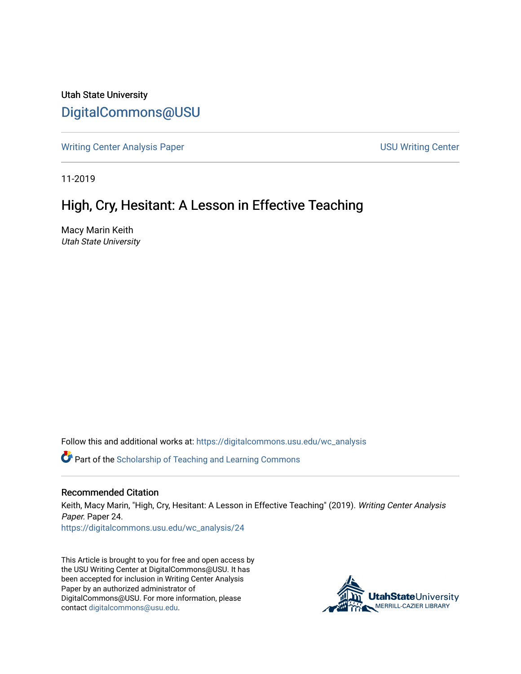Utah State University [DigitalCommons@USU](https://digitalcommons.usu.edu/)

[Writing Center Analysis Paper](https://digitalcommons.usu.edu/wc_analysis) National Communication of the USU Writing Center

11-2019

## High, Cry, Hesitant: A Lesson in Effective Teaching

Macy Marin Keith Utah State University

Follow this and additional works at: [https://digitalcommons.usu.edu/wc\\_analysis](https://digitalcommons.usu.edu/wc_analysis?utm_source=digitalcommons.usu.edu%2Fwc_analysis%2F24&utm_medium=PDF&utm_campaign=PDFCoverPages) 

Part of the [Scholarship of Teaching and Learning Commons](http://network.bepress.com/hgg/discipline/1328?utm_source=digitalcommons.usu.edu%2Fwc_analysis%2F24&utm_medium=PDF&utm_campaign=PDFCoverPages) 

## Recommended Citation

Keith, Macy Marin, "High, Cry, Hesitant: A Lesson in Effective Teaching" (2019). Writing Center Analysis Paper. Paper 24.

[https://digitalcommons.usu.edu/wc\\_analysis/24](https://digitalcommons.usu.edu/wc_analysis/24?utm_source=digitalcommons.usu.edu%2Fwc_analysis%2F24&utm_medium=PDF&utm_campaign=PDFCoverPages)

This Article is brought to you for free and open access by the USU Writing Center at DigitalCommons@USU. It has been accepted for inclusion in Writing Center Analysis Paper by an authorized administrator of DigitalCommons@USU. For more information, please contact [digitalcommons@usu.edu](mailto:digitalcommons@usu.edu).

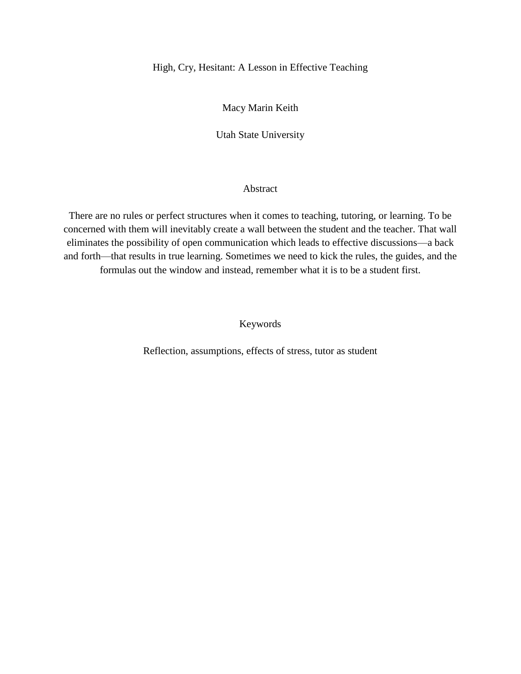## High, Cry, Hesitant: A Lesson in Effective Teaching

Macy Marin Keith

Utah State University

## Abstract

There are no rules or perfect structures when it comes to teaching, tutoring, or learning. To be concerned with them will inevitably create a wall between the student and the teacher. That wall eliminates the possibility of open communication which leads to effective discussions—a back and forth—that results in true learning. Sometimes we need to kick the rules, the guides, and the formulas out the window and instead, remember what it is to be a student first.

Keywords

Reflection, assumptions, effects of stress, tutor as student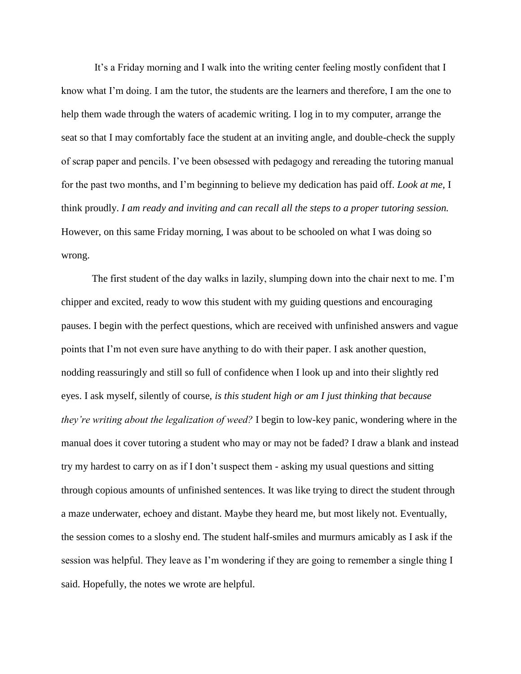It's a Friday morning and I walk into the writing center feeling mostly confident that I know what I'm doing. I am the tutor, the students are the learners and therefore, I am the one to help them wade through the waters of academic writing. I log in to my computer, arrange the seat so that I may comfortably face the student at an inviting angle, and double-check the supply of scrap paper and pencils. I've been obsessed with pedagogy and rereading the tutoring manual for the past two months, and I'm beginning to believe my dedication has paid off. *Look at me,* I think proudly. *I am ready and inviting and can recall all the steps to a proper tutoring session.* However, on this same Friday morning, I was about to be schooled on what I was doing so wrong.

The first student of the day walks in lazily, slumping down into the chair next to me. I'm chipper and excited, ready to wow this student with my guiding questions and encouraging pauses. I begin with the perfect questions, which are received with unfinished answers and vague points that I'm not even sure have anything to do with their paper. I ask another question, nodding reassuringly and still so full of confidence when I look up and into their slightly red eyes. I ask myself, silently of course, *is this student high or am I just thinking that because they're writing about the legalization of weed?* I begin to low-key panic, wondering where in the manual does it cover tutoring a student who may or may not be faded? I draw a blank and instead try my hardest to carry on as if I don't suspect them - asking my usual questions and sitting through copious amounts of unfinished sentences. It was like trying to direct the student through a maze underwater, echoey and distant. Maybe they heard me, but most likely not. Eventually, the session comes to a sloshy end. The student half-smiles and murmurs amicably as I ask if the session was helpful. They leave as I'm wondering if they are going to remember a single thing I said. Hopefully, the notes we wrote are helpful.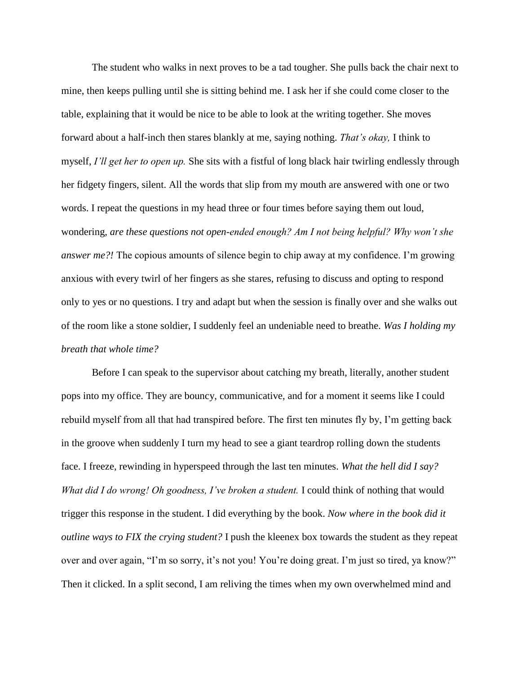The student who walks in next proves to be a tad tougher. She pulls back the chair next to mine, then keeps pulling until she is sitting behind me. I ask her if she could come closer to the table, explaining that it would be nice to be able to look at the writing together. She moves forward about a half-inch then stares blankly at me, saying nothing. *That's okay,* I think to myself, *I'll get her to open up.* She sits with a fistful of long black hair twirling endlessly through her fidgety fingers, silent. All the words that slip from my mouth are answered with one or two words. I repeat the questions in my head three or four times before saying them out loud, wondering, *are these questions not open-ended enough? Am I not being helpful? Why won't she answer me?!* The copious amounts of silence begin to chip away at my confidence. I'm growing anxious with every twirl of her fingers as she stares, refusing to discuss and opting to respond only to yes or no questions. I try and adapt but when the session is finally over and she walks out of the room like a stone soldier, I suddenly feel an undeniable need to breathe. *Was I holding my breath that whole time?*

Before I can speak to the supervisor about catching my breath, literally, another student pops into my office. They are bouncy, communicative, and for a moment it seems like I could rebuild myself from all that had transpired before. The first ten minutes fly by, I'm getting back in the groove when suddenly I turn my head to see a giant teardrop rolling down the students face. I freeze, rewinding in hyperspeed through the last ten minutes. *What the hell did I say? What did I do wrong! Oh goodness, I've broken a student.* I could think of nothing that would trigger this response in the student. I did everything by the book. *Now where in the book did it outline ways to FIX the crying student?* I push the kleenex box towards the student as they repeat over and over again, "I'm so sorry, it's not you! You're doing great. I'm just so tired, ya know?" Then it clicked. In a split second, I am reliving the times when my own overwhelmed mind and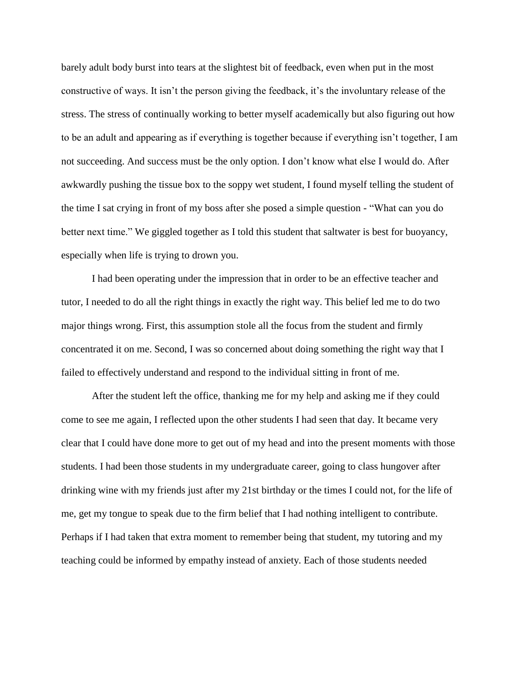barely adult body burst into tears at the slightest bit of feedback, even when put in the most constructive of ways. It isn't the person giving the feedback, it's the involuntary release of the stress. The stress of continually working to better myself academically but also figuring out how to be an adult and appearing as if everything is together because if everything isn't together, I am not succeeding. And success must be the only option. I don't know what else I would do. After awkwardly pushing the tissue box to the soppy wet student, I found myself telling the student of the time I sat crying in front of my boss after she posed a simple question - "What can you do better next time." We giggled together as I told this student that saltwater is best for buoyancy, especially when life is trying to drown you.

I had been operating under the impression that in order to be an effective teacher and tutor, I needed to do all the right things in exactly the right way. This belief led me to do two major things wrong. First, this assumption stole all the focus from the student and firmly concentrated it on me. Second, I was so concerned about doing something the right way that I failed to effectively understand and respond to the individual sitting in front of me.

After the student left the office, thanking me for my help and asking me if they could come to see me again, I reflected upon the other students I had seen that day. It became very clear that I could have done more to get out of my head and into the present moments with those students. I had been those students in my undergraduate career, going to class hungover after drinking wine with my friends just after my 21st birthday or the times I could not, for the life of me, get my tongue to speak due to the firm belief that I had nothing intelligent to contribute. Perhaps if I had taken that extra moment to remember being that student, my tutoring and my teaching could be informed by empathy instead of anxiety. Each of those students needed